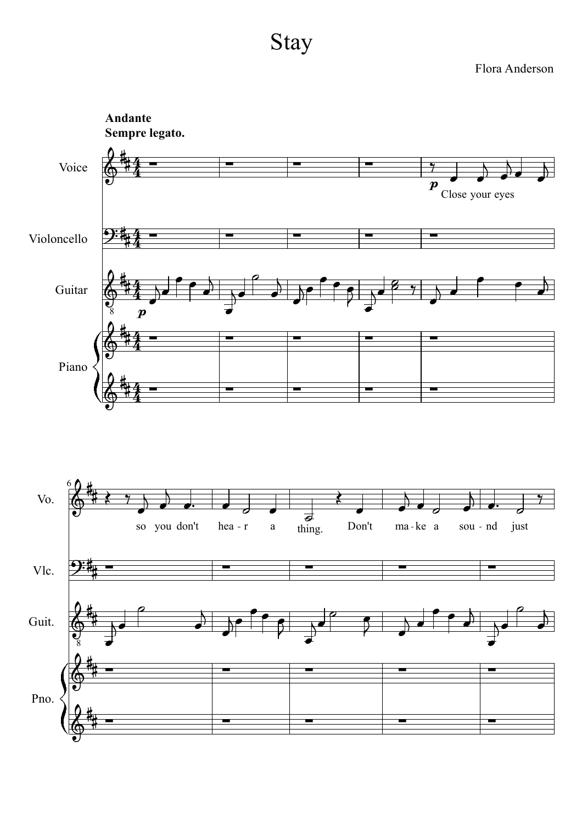Stay

Flora Anderson

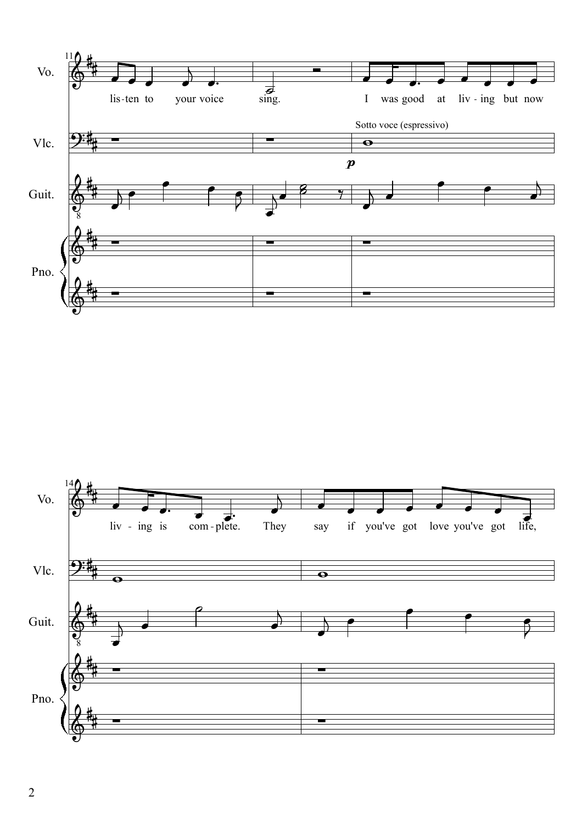

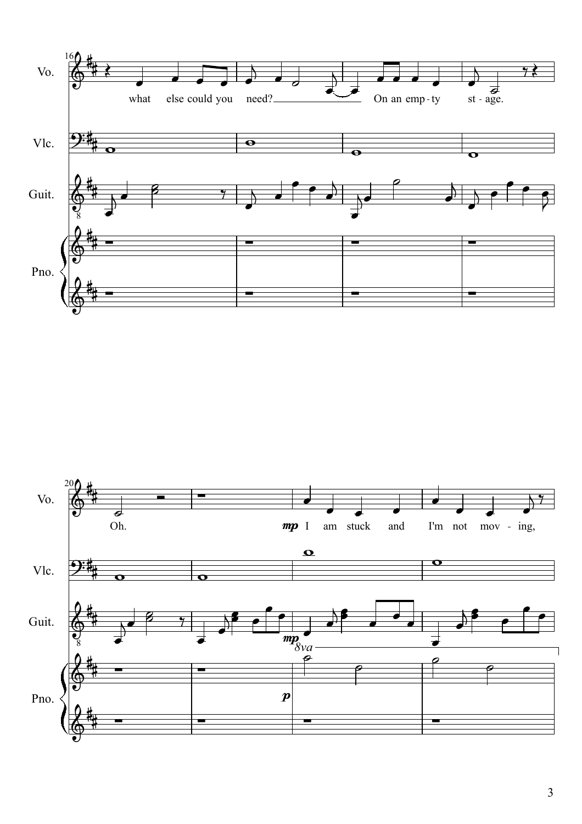

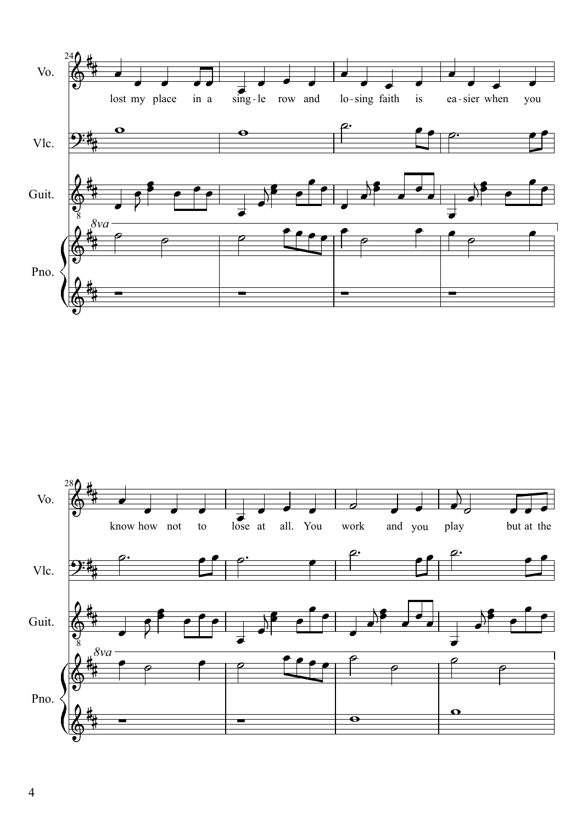

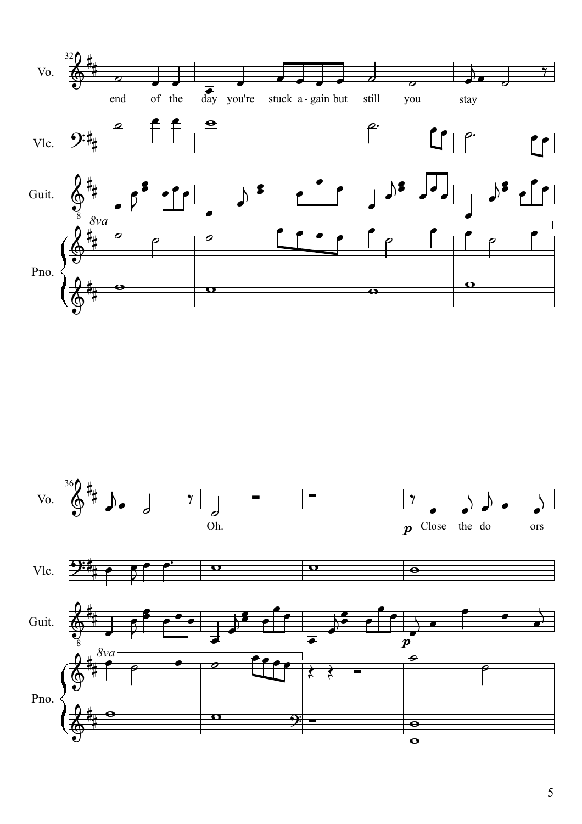

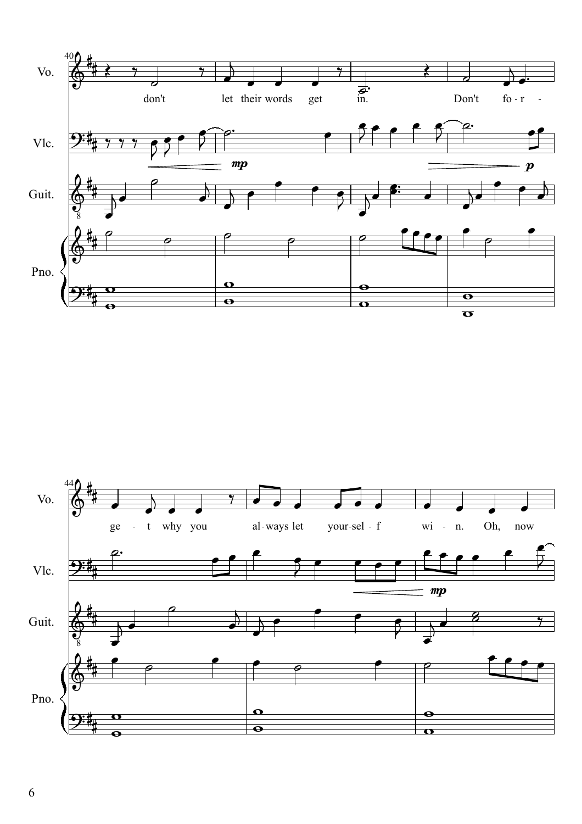

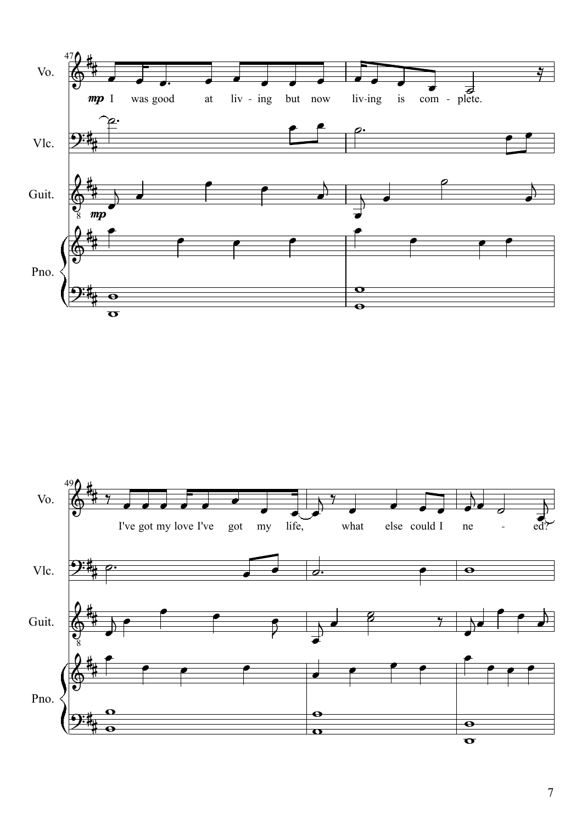



7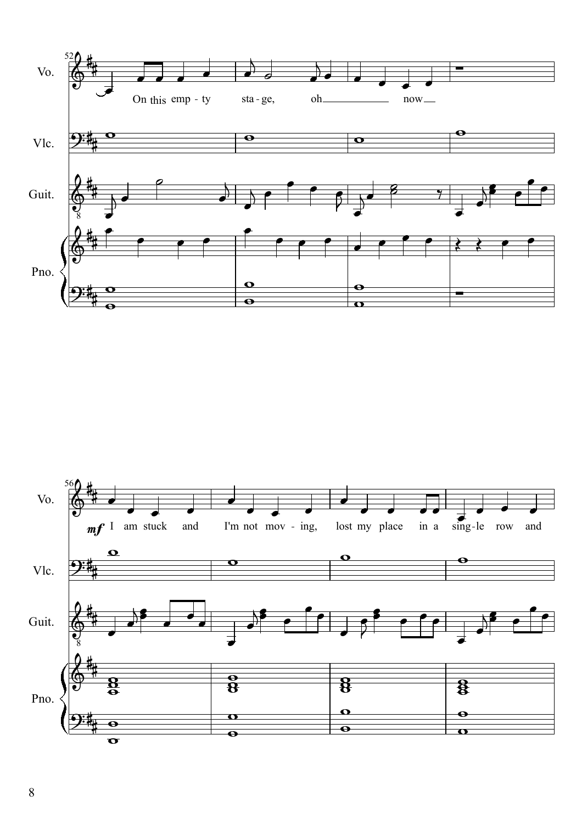

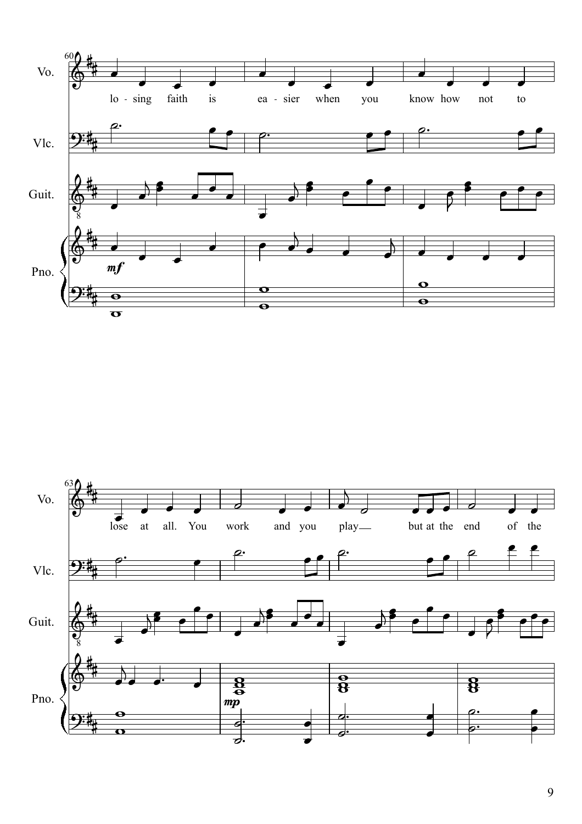

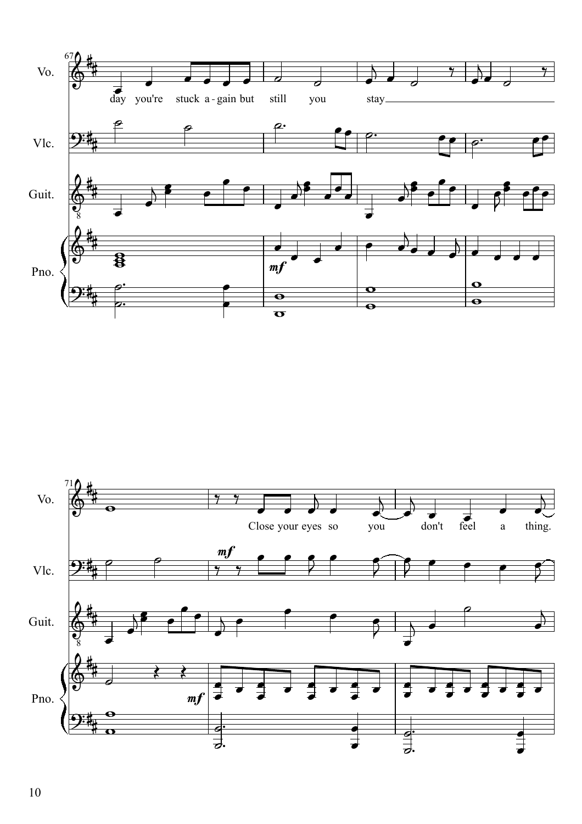

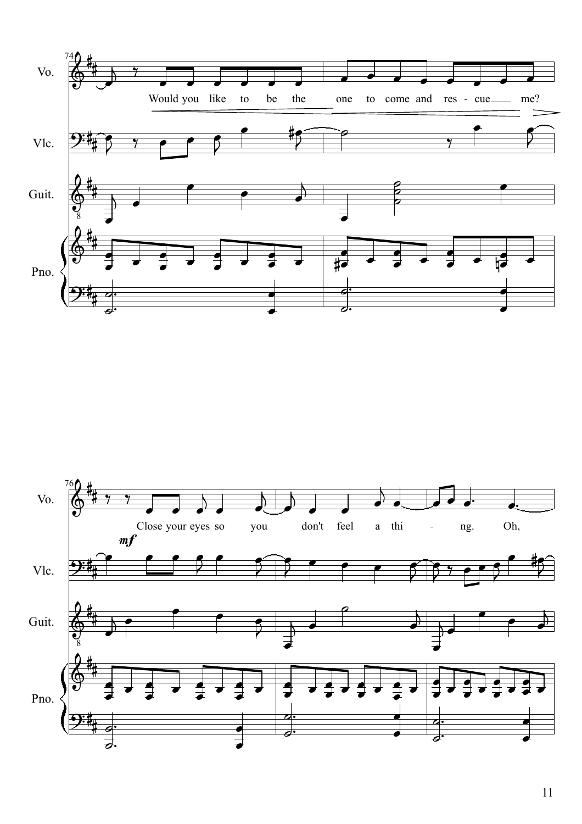

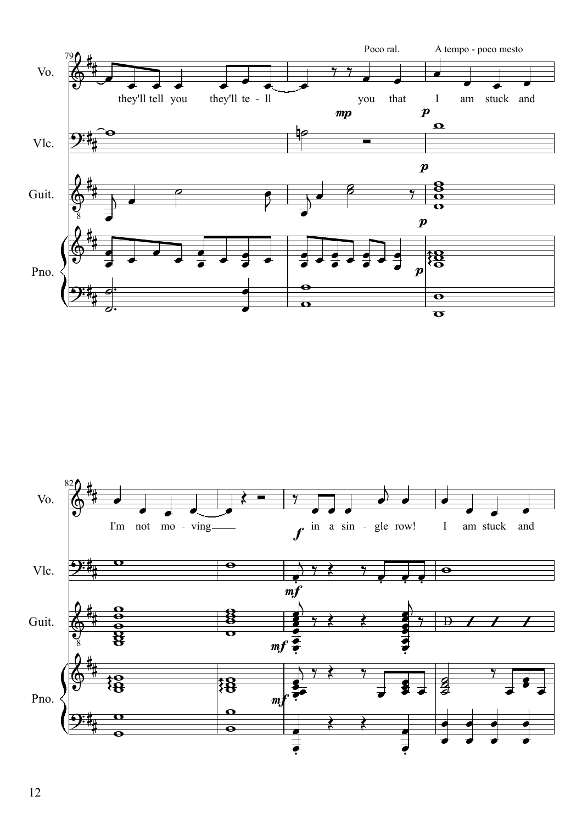

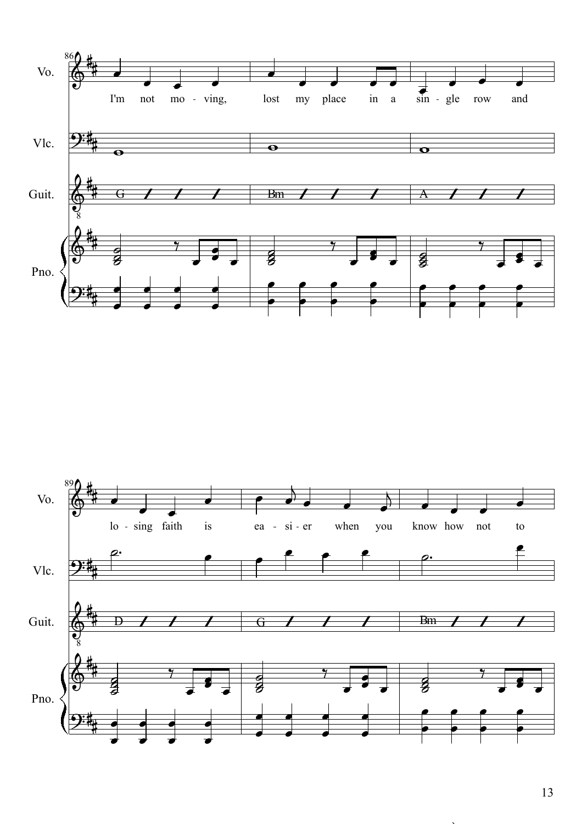



 $\frac{1}{2}$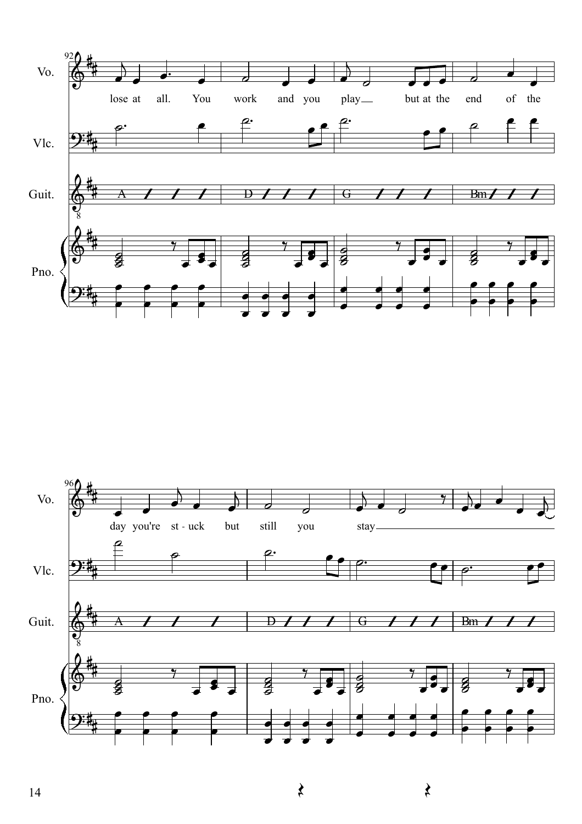



14

₹

 $\hat{\bm{x}}$  $\boldsymbol{\xi}$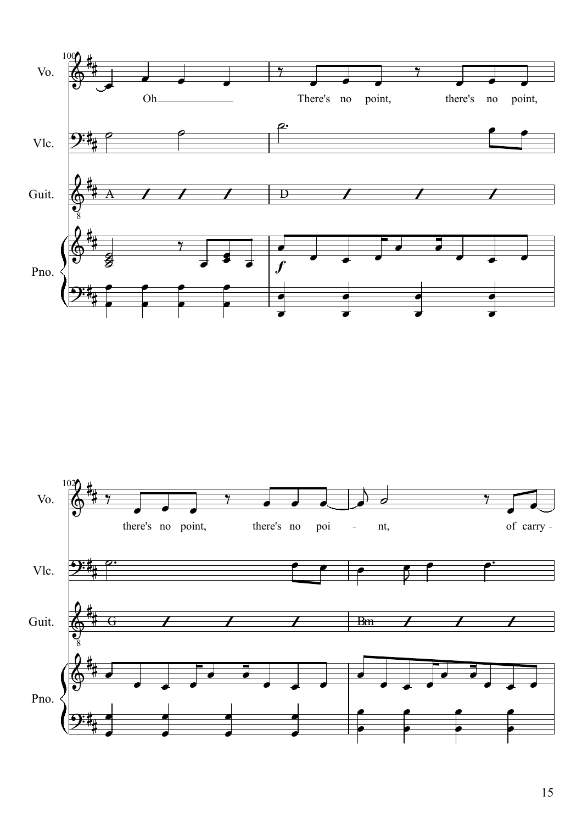

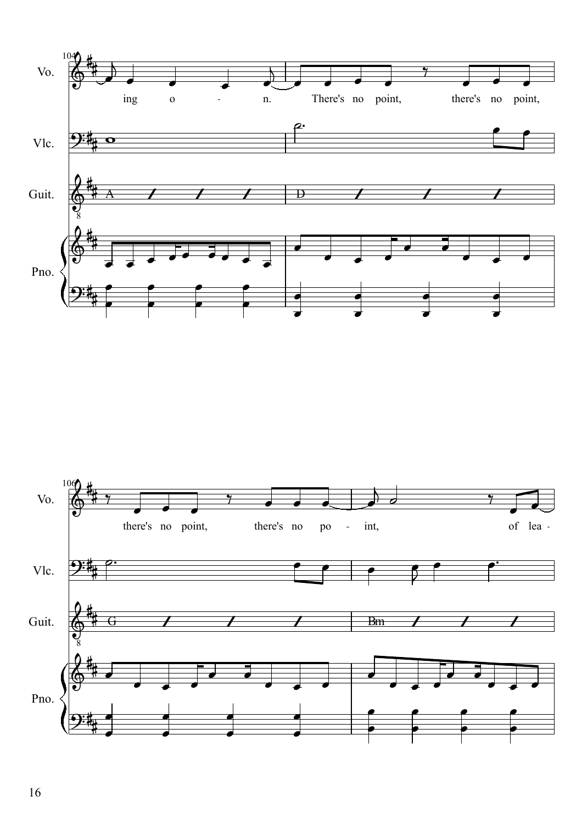